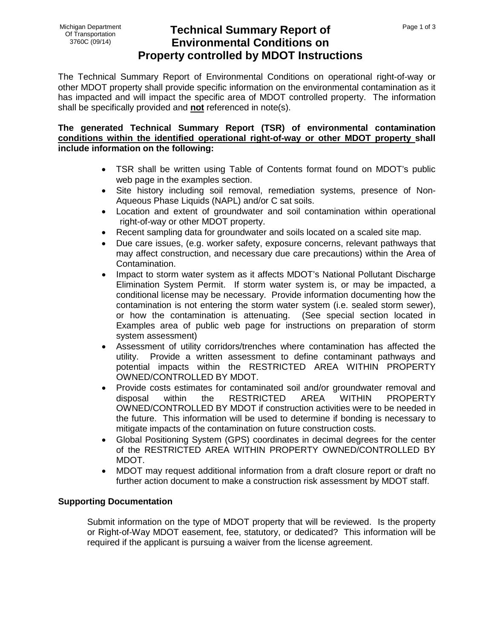## **Technical Summary Report of Environmental Conditions on Property controlled by MDOT Instructions**

The Technical Summary Report of Environmental Conditions on operational right-of-way or other MDOT property shall provide specific information on the environmental contamination as it has impacted and will impact the specific area of MDOT controlled property. The information shall be specifically provided and **not** referenced in note(s).

## **The generated Technical Summary Report (TSR) of environmental contamination conditions within the identified operational right-of-way or other MDOT property shall include information on the following:**

- TSR shall be written using Table of Contents format found on MDOT's public web page in the examples section.
- Site history including soil removal, remediation systems, presence of Non-Aqueous Phase Liquids (NAPL) and/or C sat soils.
- Location and extent of groundwater and soil contamination within operational right-of-way or other MDOT property.
- Recent sampling data for groundwater and soils located on a scaled site map.
- Due care issues, (e.g. worker safety, exposure concerns, relevant pathways that may affect construction, and necessary due care precautions) within the Area of Contamination.
- Impact to storm water system as it affects MDOT's National Pollutant Discharge Elimination System Permit. If storm water system is, or may be impacted, a conditional license may be necessary. Provide information documenting how the contamination is not entering the storm water system (i.e. sealed storm sewer), or how the contamination is attenuating. (See special section located in Examples area of public web page for instructions on preparation of storm system assessment)
- Assessment of utility corridors/trenches where contamination has affected the utility. Provide a written assessment to define contaminant pathways and potential impacts within the RESTRICTED AREA WITHIN PROPERTY OWNED/CONTROLLED BY MDOT.
- Provide costs estimates for contaminated soil and/or groundwater removal and disposal within the RESTRICTED AREA WITHIN PROPERTY OWNED/CONTROLLED BY MDOT if construction activities were to be needed in the future. This information will be used to determine if bonding is necessary to mitigate impacts of the contamination on future construction costs.
- Global Positioning System (GPS) coordinates in decimal degrees for the center of the RESTRICTED AREA WITHIN PROPERTY OWNED/CONTROLLED BY MDOT.
- MDOT may request additional information from a draft closure report or draft no further action document to make a construction risk assessment by MDOT staff.

## **Supporting Documentation**

Submit information on the type of MDOT property that will be reviewed. Is the property or Right-of-Way MDOT easement, fee, statutory, or dedicated? This information will be required if the applicant is pursuing a waiver from the license agreement.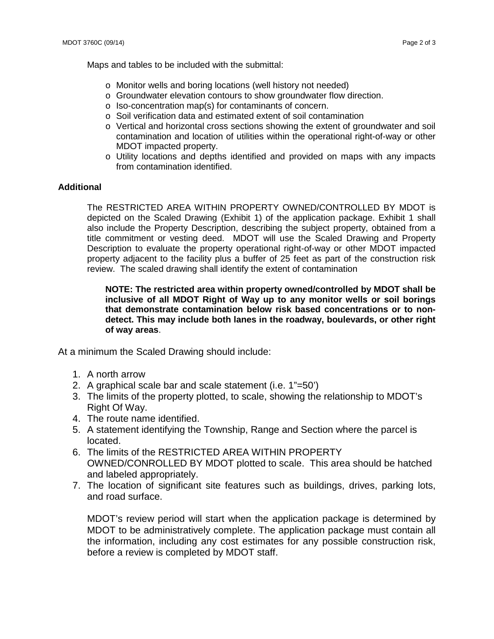Maps and tables to be included with the submittal:

- o Monitor wells and boring locations (well history not needed)
- o Groundwater elevation contours to show groundwater flow direction.
- o Iso-concentration map(s) for contaminants of concern.
- o Soil verification data and estimated extent of soil contamination
- o Vertical and horizontal cross sections showing the extent of groundwater and soil contamination and location of utilities within the operational right-of-way or other MDOT impacted property.
- o Utility locations and depths identified and provided on maps with any impacts from contamination identified.

## **Additional**

The RESTRICTED AREA WITHIN PROPERTY OWNED/CONTROLLED BY MDOT is depicted on the Scaled Drawing (Exhibit 1) of the application package. Exhibit 1 shall also include the Property Description, describing the subject property, obtained from a title commitment or vesting deed. MDOT will use the Scaled Drawing and Property Description to evaluate the property operational right-of-way or other MDOT impacted property adjacent to the facility plus a buffer of 25 feet as part of the construction risk review. The scaled drawing shall identify the extent of contamination

**NOTE: The restricted area within property owned/controlled by MDOT shall be inclusive of all MDOT Right of Way up to any monitor wells or soil borings that demonstrate contamination below risk based concentrations or to nondetect. This may include both lanes in the roadway, boulevards, or other right of way areas**.

At a minimum the Scaled Drawing should include:

- 1. A north arrow
- 2. A graphical scale bar and scale statement (i.e. 1"=50')
- 3. The limits of the property plotted, to scale, showing the relationship to MDOT's Right Of Way.
- 4. The route name identified.
- 5. A statement identifying the Township, Range and Section where the parcel is located.
- 6. The limits of the RESTRICTED AREA WITHIN PROPERTY OWNED/CONROLLED BY MDOT plotted to scale. This area should be hatched and labeled appropriately.
- 7. The location of significant site features such as buildings, drives, parking lots, and road surface.

MDOT's review period will start when the application package is determined by MDOT to be administratively complete. The application package must contain all the information, including any cost estimates for any possible construction risk, before a review is completed by MDOT staff.